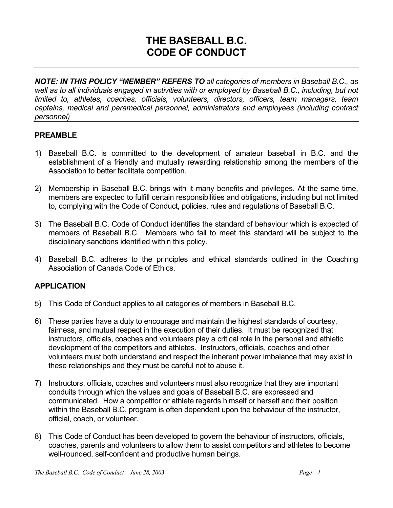# **THE BASEBALL B.C. CODE OF CONDUCT**

*NOTE: IN THIS POLICY "MEMBER" REFERS TO all categories of members in Baseball B.C., as*  well as to all individuals engaged in activities with or employed by Baseball B.C., including, but not *limited to, athletes, coaches, officials, volunteers, directors, officers, team managers, team captains, medical and paramedical personnel, administrators and employees (including contract personnel)* 

## **PREAMBLE**

- 1) Baseball B.C. is committed to the development of amateur baseball in B.C. and the establishment of a friendly and mutually rewarding relationship among the members of the Association to better facilitate competition.
- 2) Membership in Baseball B.C. brings with it many benefits and privileges. At the same time, members are expected to fulfill certain responsibilities and obligations, including but not limited to, complying with the Code of Conduct, policies, rules and regulations of Baseball B.C.
- 3) The Baseball B.C. Code of Conduct identifies the standard of behaviour which is expected of members of Baseball B.C. Members who fail to meet this standard will be subject to the disciplinary sanctions identified within this policy.
- 4) Baseball B.C. adheres to the principles and ethical standards outlined in the Coaching Association of Canada Code of Ethics.

# **APPLICATION**

- 5) This Code of Conduct applies to all categories of members in Baseball B.C.
- 6) These parties have a duty to encourage and maintain the highest standards of courtesy, fairness, and mutual respect in the execution of their duties. It must be recognized that instructors, officials, coaches and volunteers play a critical role in the personal and athletic development of the competitors and athletes. Instructors, officials, coaches and other volunteers must both understand and respect the inherent power imbalance that may exist in these relationships and they must be careful not to abuse it.
- 7) Instructors, officials, coaches and volunteers must also recognize that they are important conduits through which the values and goals of Baseball B.C. are expressed and communicated. How a competitor or athlete regards himself or herself and their position within the Baseball B.C. program is often dependent upon the behaviour of the instructor, official, coach, or volunteer.
- 8) This Code of Conduct has been developed to govern the behaviour of instructors, officials, coaches, parents and volunteers to allow them to assist competitors and athletes to become well-rounded, self-confident and productive human beings.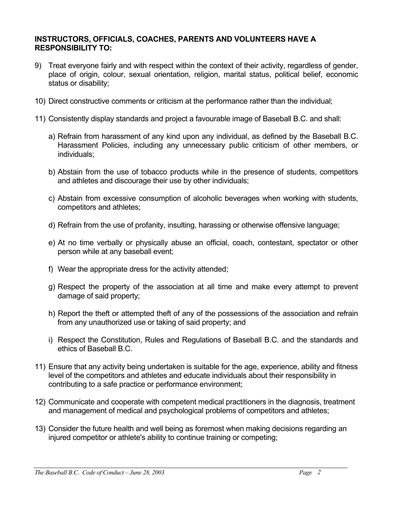#### **INSTRUCTORS, OFFICIALS, COACHES, PARENTS AND VOLUNTEERS HAVE A RESPONSIBILITY TO:**

- 9) Treat everyone fairly and with respect within the context of their activity, regardless of gender, place of origin, colour, sexual orientation, religion, marital status, political belief, economic status or disability;
- 10) Direct constructive comments or criticism at the performance rather than the individual;
- 11) Consistently display standards and project a favourable image of Baseball B.C. and shall:
	- a) Refrain from harassment of any kind upon any individual, as defined by the Baseball B.C. Harassment Policies, including any unnecessary public criticism of other members, or individuals;
	- b) Abstain from the use of tobacco products while in the presence of students, competitors and athletes and discourage their use by other individuals;
	- c) Abstain from excessive consumption of alcoholic beverages when working with students, competitors and athletes;
	- d) Refrain from the use of profanity, insulting, harassing or otherwise offensive language;
	- e) At no time verbally or physically abuse an official, coach, contestant, spectator or other person while at any baseball event;
	- f) Wear the appropriate dress for the activity attended;
	- g) Respect the property of the association at all time and make every attempt to prevent damage of said property;
	- h) Report the theft or attempted theft of any of the possessions of the association and refrain from any unauthorized use or taking of said property; and
	- i) Respect the Constitution, Rules and Regulations of Baseball B.C. and the standards and ethics of Baseball B.C.
- 11) Ensure that any activity being undertaken is suitable for the age, experience, ability and fitness level of the competitors and athletes and educate individuals about their responsibility in contributing to a safe practice or performance environment;
- 12) Communicate and cooperate with competent medical practitioners in the diagnosis, treatment and management of medical and psychological problems of competitors and athletes;
- 13) Consider the future health and well being as foremost when making decisions regarding an injured competitor or athlete's ability to continue training or competing;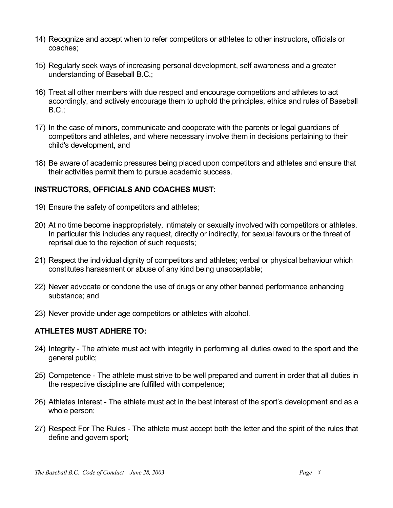- 14) Recognize and accept when to refer competitors or athletes to other instructors, officials or coaches;
- 15) Regularly seek ways of increasing personal development, self awareness and a greater understanding of Baseball B.C.;
- 16) Treat all other members with due respect and encourage competitors and athletes to act accordingly, and actively encourage them to uphold the principles, ethics and rules of Baseball  $B.C.:$
- 17) In the case of minors, communicate and cooperate with the parents or legal guardians of competitors and athletes, and where necessary involve them in decisions pertaining to their child's development, and
- 18) Be aware of academic pressures being placed upon competitors and athletes and ensure that their activities permit them to pursue academic success.

## **INSTRUCTORS, OFFICIALS AND COACHES MUST**:

- 19) Ensure the safety of competitors and athletes;
- 20) At no time become inappropriately, intimately or sexually involved with competitors or athletes. In particular this includes any request, directly or indirectly, for sexual favours or the threat of reprisal due to the rejection of such requests;
- 21) Respect the individual dignity of competitors and athletes; verbal or physical behaviour which constitutes harassment or abuse of any kind being unacceptable;
- 22) Never advocate or condone the use of drugs or any other banned performance enhancing substance; and
- 23) Never provide under age competitors or athletes with alcohol.

# **ATHLETES MUST ADHERE TO:**

- 24) Integrity The athlete must act with integrity in performing all duties owed to the sport and the general public;
- 25) Competence The athlete must strive to be well prepared and current in order that all duties in the respective discipline are fulfilled with competence;
- 26) Athletes Interest The athlete must act in the best interest of the sport's development and as a whole person;
- 27) Respect For The Rules The athlete must accept both the letter and the spirit of the rules that define and govern sport;